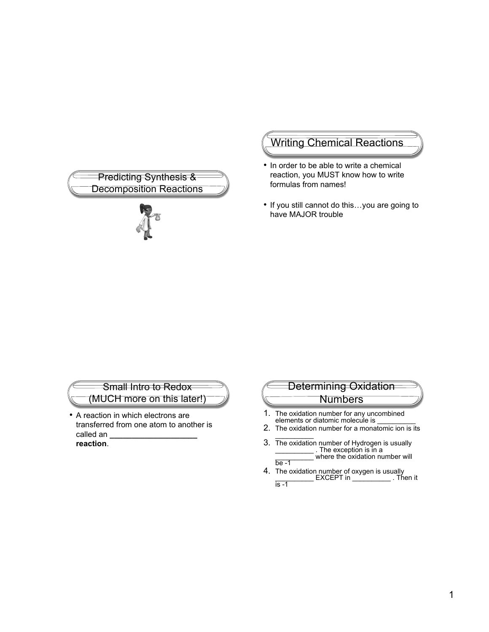

# Writing Chemical Reactions

- In order to be able to write a chemical reaction, you MUST know how to write formulas from names!
- If you still cannot do this…you are going to have MAJOR trouble

#### Small Intro to Redox (MUCH more on this later!)

• A reaction in which electrons are transferred from one atom to another is called an **\_\_\_\_\_\_\_\_\_\_\_\_\_\_\_\_\_\_\_\_ reaction**.

# Determining Oxidation **Numbers**

- 1. The oxidation number for any uncombined elements or diatomic molecule is
- 2. The oxidation number for a monatomic ion is its  $\overline{\phantom{a}}$
- 3. The oxidation number of Hydrogen is usually \_\_\_\_\_\_\_\_\_\_ . The exception is in a where the oxidation number will  $be -1$
- 4. The oxidation number of oxygen is usually \_\_\_\_\_\_\_\_\_\_ EXCEPT in \_\_\_\_\_\_\_\_\_\_ . Then it  $is -1$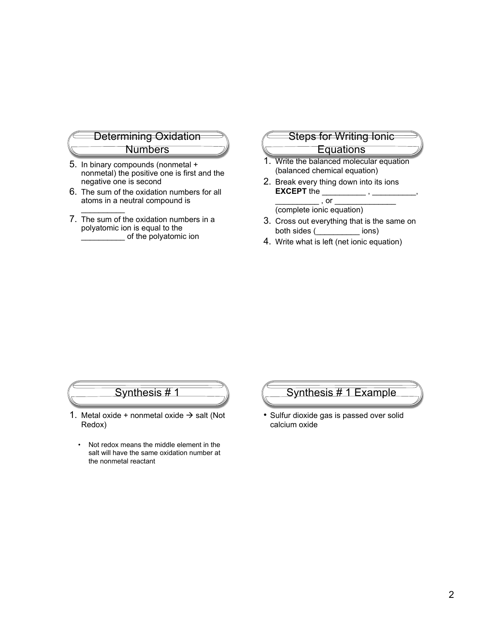

- 5. In binary compounds (nonmetal + nonmetal) the positive one is first and the negative one is second
- 6. The sum of the oxidation numbers for all atoms in a neutral compound is
- 7. The sum of the oxidation numbers in a polyatomic ion is equal to the \_\_\_\_\_\_\_\_\_\_ of the polyatomic ion

 $\frac{1}{2}$ 

#### Steps for Writing Ionic

#### **Equations**

- 1. Write the balanced molecular equation (balanced chemical equation)
- 2. Break every thing down into its ions **EXCEPT** the \_\_\_\_\_\_\_\_\_\_\_\_\_,  $\_$  , or  $\_$

(complete ionic equation)

- 3. Cross out everything that is the same on both sides (\_\_\_\_\_\_\_\_\_\_ ions)
- 4. Write what is left (net ionic equation)

# Synthesis # 1

- 1. Metal oxide + nonmetal oxide  $\rightarrow$  salt (Not Redox)
	- Not redox means the middle element in the salt will have the same oxidation number at the nonmetal reactant

### Synthesis # 1 Example

• Sulfur dioxide gas is passed over solid calcium oxide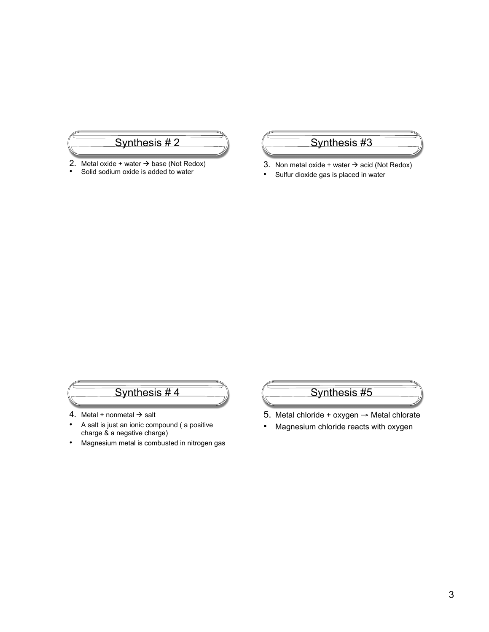

- 2. Metal oxide + water  $\rightarrow$  base (Not Redox)<br>
Solid sodium oxide is added to water
- Solid sodium oxide is added to water

## Synthesis #3

- 3. Non metal oxide + water  $\rightarrow$  acid (Not Redox)
- Sulfur dioxide gas is placed in water

# Synthesis # 4

- 4. Metal + nonmetal  $\rightarrow$  salt
- A salt is just an ionic compound ( a positive charge & a negative charge)
- Magnesium metal is combusted in nitrogen gas

# Synthesis #5

- 5. Metal chloride + oxygen  $\rightarrow$  Metal chlorate
- Magnesium chloride reacts with oxygen